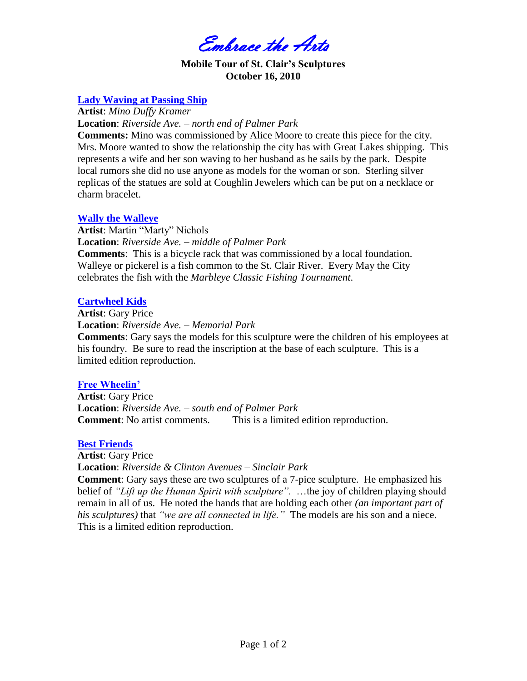Embrace the Arts

### **Mobile Tour of St. Clair's Sculptures October 16, 2010**

## **Lady Waving at Passing Ship**

**Artist**: *Mino Duffy Kramer*

**Location**: *Riverside Ave. – north end of Palmer Park*

**Comments:** Mino was commissioned by Alice Moore to create this piece for the city. Mrs. Moore wanted to show the relationship the city has with Great Lakes shipping. This represents a wife and her son waving to her husband as he sails by the park. Despite local rumors she did no use anyone as models for the woman or son. Sterling silver replicas of the statues are sold at Coughlin Jewelers which can be put on a necklace or charm bracelet.

## **Wally the Walleye**

**Artist**: Martin "Marty" Nichols **Location**: *Riverside Ave. – middle of Palmer Park* **Comments**: This is a bicycle rack that was commissioned by a local foundation. Walleye or pickerel is a fish common to the St. Clair River. Every May the City celebrates the fish with the *Marbleye Classic Fishing Tournament*.

## **Cartwheel Kids**

**Artist**: Gary Price **Location**: *Riverside Ave. – Memorial Park* **Comments**: Gary says the models for this sculpture were the children of his employees at

his foundry. Be sure to read the inscription at the base of each sculpture. This is a limited edition reproduction.

## **Free Wheelin'**

**Artist**: Gary Price **Location**: *Riverside Ave. – south end of Palmer Park* **Comment:** No artist comments. This is a limited edition reproduction.

## **Best Friends**

**Artist**: Gary Price **Location**: *Riverside & Clinton Avenues – Sinclair Park* **Comment**: Gary says these are two sculptures of a 7-pice sculpture. He emphasized his belief of *"Lift up the Human Spirit with sculpture".* …the joy of children playing should remain in all of us. He noted the hands that are holding each other *(an important part of his sculptures)* that *"we are all connected in life."* The models are his son and a niece. This is a limited edition reproduction.